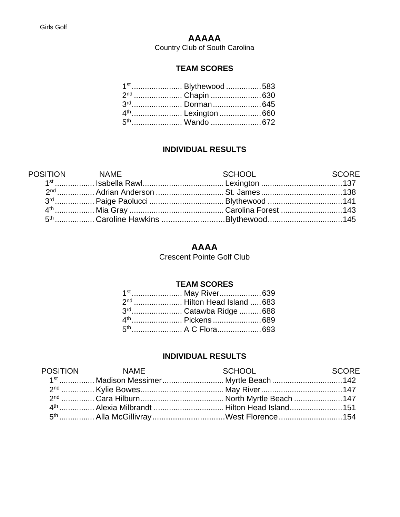## **AAAAA**

Country Club of South Carolina

#### **TEAM SCORES**

| 1 <sup>st</sup> Blythewood 583 |
|--------------------------------|
|                                |
|                                |
|                                |
|                                |

#### **INDIVIDUAL RESULTS**

| POSITION NAME                                                              | SCHOOL | <b>SCORE</b> |
|----------------------------------------------------------------------------|--------|--------------|
|                                                                            |        |              |
| <u>2nd ……………… Adrian Anderson …………………………… St. James …………………………………… 138</u> |        |              |
|                                                                            |        |              |
|                                                                            |        |              |
| 5 <sup>th</sup> Caroline Hawkins Blythewood145                             |        |              |

### **AAAA**

Crescent Pointe Golf Club

#### **TEAM SCORES**

| 1 <sup>st</sup> May River639            |
|-----------------------------------------|
| 2 <sup>nd</sup> Hilton Head Island  683 |
| 3 <sup>rd</sup> Catawba Ridge  688      |
|                                         |
| 5 <sup>th</sup> A C Flora693            |

#### **INDIVIDUAL RESULTS**

| POSITION NAME | <b>SCHOOL</b> SCHOOL<br><b>Example 2018</b> SCORE  |  |
|---------------|----------------------------------------------------|--|
|               | 1 <sup>st</sup> Madison Messimer  Myrtle Beach 142 |  |
|               |                                                    |  |
|               |                                                    |  |
|               |                                                    |  |
|               | 5 <sup>th</sup> Alla McGillivray West Florence 154 |  |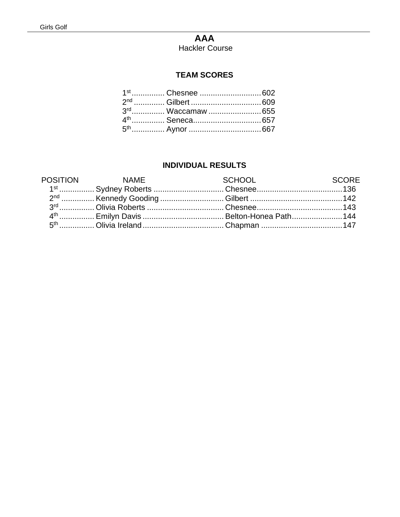# **AAA**

**Hackler Course** 

### **TEAM SCORES**

| 3rd Waccamaw  655 |  |
|-------------------|--|
|                   |  |
|                   |  |

#### **INDIVIDUAL RESULTS**

| POSITION NAME | <b>Example 2018 SCHOOL</b><br><b>SCORE</b> |  |
|---------------|--------------------------------------------|--|
|               |                                            |  |
|               |                                            |  |
|               |                                            |  |
|               |                                            |  |
|               |                                            |  |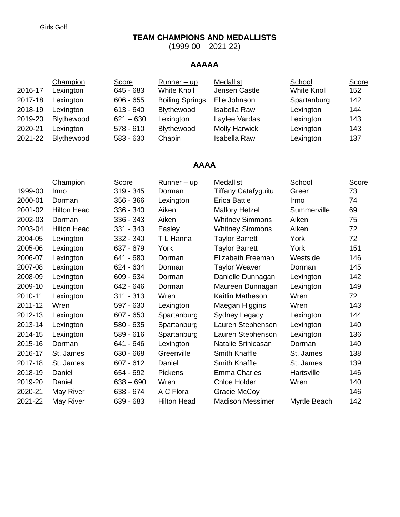### **TEAM CHAMPIONS AND MEDALLISTS**

(1999-00 – 2021-22)

## **AAAAA**

|         | Champion          | Score       | $Runner - up$          | Medallist            | School             | Score |
|---------|-------------------|-------------|------------------------|----------------------|--------------------|-------|
| 2016-17 | Lexington         | 645 - 683   | <b>White Knoll</b>     | Jensen Castle        | <b>White Knoll</b> | 152   |
| 2017-18 | Lexington         | $606 - 655$ | <b>Boiling Springs</b> | Elle Johnson         | Spartanburg        | 142   |
| 2018-19 | Lexington         | $613 - 640$ | Blythewood             | Isabella Rawl        | Lexington          | 144   |
| 2019-20 | Blythewood        | $621 - 630$ | Lexington              | Laylee Vardas        | Lexington          | 143   |
| 2020-21 | Lexington         | $578 - 610$ | <b>Blythewood</b>      | <b>Molly Harwick</b> | Lexington          | 143   |
| 2021-22 | <b>Blythewood</b> | 583 - 630   | Chapin                 | <b>Isabella Rawl</b> | Lexington          | 137   |

#### **AAAA**

|         | Champion           | <b>Score</b> | <u>Runner – up</u> | Medallist                  | School       | Score |
|---------|--------------------|--------------|--------------------|----------------------------|--------------|-------|
| 1999-00 | Irmo               | $319 - 345$  | Dorman             | <b>Tiffany Catafyguitu</b> | Greer        | 73    |
| 2000-01 | Dorman             | 356 - 366    | Lexington          | Erica Battle               | Irmo         | 74    |
| 2001-02 | <b>Hilton Head</b> | 336 - 340    | Aiken              | <b>Mallory Hetzel</b>      | Summerville  | 69    |
| 2002-03 | Dorman             | 336 - 343    | Aiken              | <b>Whitney Simmons</b>     | Aiken        | 75    |
| 2003-04 | <b>Hilton Head</b> | 331 - 343    | Easley             | <b>Whitney Simmons</b>     | Aiken        | 72    |
| 2004-05 | Lexington          | 332 - 340    | T L Hanna          | <b>Taylor Barrett</b>      | York         | 72    |
| 2005-06 | Lexington          | 637 - 679    | York               | <b>Taylor Barrett</b>      | York         | 151   |
| 2006-07 | Lexington          | 641 - 680    | Dorman             | Elizabeth Freeman          | Westside     | 146   |
| 2007-08 | Lexington          | 624 - 634    | Dorman             | <b>Taylor Weaver</b>       | Dorman       | 145   |
| 2008-09 | Lexington          | 609 - 634    | Dorman             | Danielle Dunnagan          | Lexington    | 142   |
| 2009-10 | Lexington          | 642 - 646    | Dorman             | Maureen Dunnagan           | Lexington    | 149   |
| 2010-11 | Lexington          | $311 - 313$  | Wren               | Kaitlin Matheson           | Wren         | 72    |
| 2011-12 | Wren               | 597 - 630    | Lexington          | Maegan Higgins             | Wren         | 143   |
| 2012-13 | Lexington          | 607 - 650    | Spartanburg        | Sydney Legacy              | Lexington    | 144   |
| 2013-14 | Lexington          | 580 - 635    | Spartanburg        | Lauren Stephenson          | Lexington    | 140   |
| 2014-15 | Lexington          | 589 - 616    | Spartanburg        | Lauren Stephenson          | Lexington    | 136   |
| 2015-16 | Dorman             | 641 - 646    | Lexington          | Natalie Srinicasan         | Dorman       | 140   |
| 2016-17 | St. James          | 630 - 668    | Greenville         | <b>Smith Knaffle</b>       | St. James    | 138   |
| 2017-18 | St. James          | $607 - 612$  | Daniel             | <b>Smith Knaffle</b>       | St. James    | 139   |
| 2018-19 | Daniel             | 654 - 692    | Pickens            | <b>Emma Charles</b>        | Hartsville   | 146   |
| 2019-20 | Daniel             | $638 - 690$  | Wren               | <b>Chloe Holder</b>        | Wren         | 140   |
| 2020-21 | May River          | 638 - 674    | A C Flora          | Gracie McCoy               |              | 146   |
| 2021-22 | May River          | 639 - 683    | <b>Hilton Head</b> | <b>Madison Messimer</b>    | Myrtle Beach | 142   |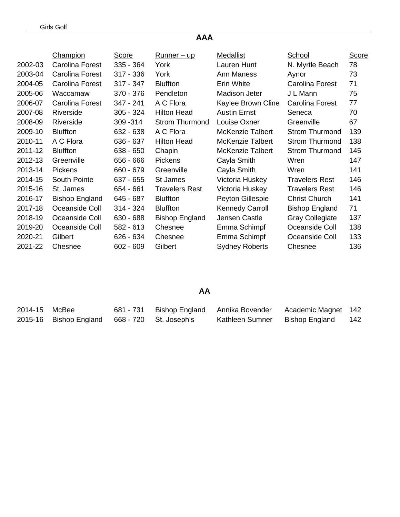# **AAA**

|         | <b>Champion</b>       | <u>Score</u> | <u>Runner – up</u>    | Medallist               | School                 | <b>Score</b> |
|---------|-----------------------|--------------|-----------------------|-------------------------|------------------------|--------------|
| 2002-03 | Carolina Forest       | $335 - 364$  | York                  | Lauren Hunt             | N. Myrtle Beach        | 78           |
| 2003-04 | Carolina Forest       | $317 - 336$  | York                  | Ann Maness              | Aynor                  | 73           |
| 2004-05 | Carolina Forest       | $317 - 347$  | <b>Bluffton</b>       | Erin White              | Carolina Forest        | 71           |
| 2005-06 | Waccamaw              | $370 - 376$  | Pendleton             | Madison Jeter           | J L Mann               | 75           |
| 2006-07 | Carolina Forest       | 347 - 241    | A C Flora             | Kaylee Brown Cline      | Carolina Forest        | 77           |
| 2007-08 | Riverside             | $305 - 324$  | <b>Hilton Head</b>    | <b>Austin Ernst</b>     | Seneca                 | 70           |
| 2008-09 | Riverside             | 309 - 314    | <b>Strom Thurmond</b> | Louise Oxner            | Greenville             | 67           |
| 2009-10 | <b>Bluffton</b>       | 632 - 638    | A C Flora             | <b>McKenzie Talbert</b> | <b>Strom Thurmond</b>  | 139          |
| 2010-11 | A C Flora             | $636 - 637$  | <b>Hilton Head</b>    | <b>McKenzie Talbert</b> | <b>Strom Thurmond</b>  | 138          |
| 2011-12 | <b>Bluffton</b>       | $638 - 650$  | Chapin                | <b>McKenzie Talbert</b> | <b>Strom Thurmond</b>  | 145          |
| 2012-13 | Greenville            | 656 - 666    | <b>Pickens</b>        | Cayla Smith             | Wren                   | 147          |
| 2013-14 | <b>Pickens</b>        | 660 - 679    | Greenville            | Cayla Smith             | Wren                   | 141          |
| 2014-15 | South Pointe          | $637 - 655$  | St James              | Victoria Huskey         | <b>Travelers Rest</b>  | 146          |
| 2015-16 | St. James             | 654 - 661    | <b>Travelers Rest</b> | Victoria Huskey         | <b>Travelers Rest</b>  | 146          |
| 2016-17 | <b>Bishop England</b> | 645 - 687    | <b>Bluffton</b>       | Peyton Gillespie        | <b>Christ Church</b>   | 141          |
| 2017-18 | Oceanside Coll        | $314 - 324$  | <b>Bluffton</b>       | <b>Kennedy Carroll</b>  | <b>Bishop England</b>  | 71           |
| 2018-19 | Oceanside Coll        | $630 - 688$  | <b>Bishop England</b> | Jensen Castle           | <b>Gray Collegiate</b> | 137          |
| 2019-20 | Oceanside Coll        | $582 - 613$  | Chesnee               | Emma Schimpf            | Oceanside Coll         | 138          |
| 2020-21 | Gilbert               | 626 - 634    | Chesnee               | Emma Schimpf            | Oceanside Coll         | 133          |
| 2021-22 | Chesnee               | $602 - 609$  | Gilbert               | <b>Sydney Roberts</b>   | Chesnee                | 136          |

# **AA**

| 2014-15 McBee |                                               |  | 681 - 731 Bishop England Annika Bovender | Academic Magnet 142 |       |
|---------------|-----------------------------------------------|--|------------------------------------------|---------------------|-------|
|               | 2015-16 Bishop England 668 - 720 St. Joseph's |  | Kathleen Sumner                          | Bishop England      | - 142 |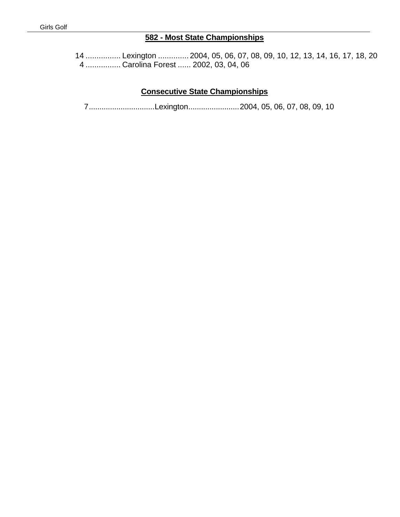# **582 - Most State Championships**

14 ................ Lexington .............. 2004, 05, 06, 07, 08, 09, 10, 12, 13, 14, 16, 17, 18, 20 4 ................ Carolina Forest ...... 2002, 03, 04, 06

# **Consecutive State Championships**

7...............................Lexington........................2004, 05, 06, 07, 08, 09, 10